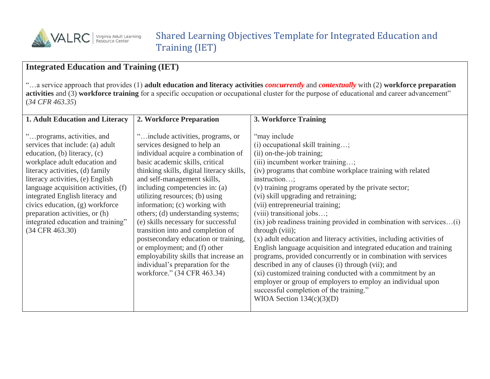

## **Integrated Education and Training (IET)**

"…a service approach that provides (1) **adult education and literacy activities** *concurrently* and *contextually* with (2) **workforce preparation activities** and (3) **workforce training** for a specific occupation or occupational cluster for the purpose of educational and career advancement" (*34 CFR 463.35*)

| 1. Adult Education and Literacy                                                                                                                                                                                                                                                                                                                                                                                 | 2. Workforce Preparation                                                                                                                                                                                                                                                                                                                                                                                                                                                                                                                                                                                                            | 3. Workforce Training                                                                                                                                                                                                                                                                                                                                                                                                                                                                                                                                                                                                                                                                                                                                                                                                                                                                                                                             |
|-----------------------------------------------------------------------------------------------------------------------------------------------------------------------------------------------------------------------------------------------------------------------------------------------------------------------------------------------------------------------------------------------------------------|-------------------------------------------------------------------------------------------------------------------------------------------------------------------------------------------------------------------------------------------------------------------------------------------------------------------------------------------------------------------------------------------------------------------------------------------------------------------------------------------------------------------------------------------------------------------------------------------------------------------------------------|---------------------------------------------------------------------------------------------------------------------------------------------------------------------------------------------------------------------------------------------------------------------------------------------------------------------------------------------------------------------------------------------------------------------------------------------------------------------------------------------------------------------------------------------------------------------------------------------------------------------------------------------------------------------------------------------------------------------------------------------------------------------------------------------------------------------------------------------------------------------------------------------------------------------------------------------------|
| "programs, activities, and<br>services that include: (a) adult<br>education, (b) literacy, (c)<br>workplace adult education and<br>literacy activities, (d) family<br>literacy activities, (e) English<br>language acquisition activities, (f)<br>integrated English literacy and<br>civics education, (g) workforce<br>preparation activities, or (h)<br>integrated education and training"<br>(34 CFR 463.30) | " include activities, programs, or<br>services designed to help an<br>individual acquire a combination of<br>basic academic skills, critical<br>thinking skills, digital literacy skills,<br>and self-management skills,<br>including competencies in: (a)<br>utilizing resources; (b) using<br>information; (c) working with<br>others; (d) understanding systems;<br>(e) skills necessary for successful<br>transition into and completion of<br>postsecondary education or training,<br>or employment; and (f) other<br>employability skills that increase an<br>individual's preparation for the<br>workforce." (34 CFR 463.34) | "may include"<br>$(i)$ occupational skill training;<br>(ii) on-the-job training;<br>(iii) incumbent worker training;<br>(iv) programs that combine workplace training with related<br>instruction;<br>(v) training programs operated by the private sector;<br>(vi) skill upgrading and retraining;<br>(vii) entrepreneurial training;<br>(viii) transitional jobs;<br>$(ix)$ job readiness training provided in combination with services $(i)$<br>through (viii);<br>(x) adult education and literacy activities, including activities of<br>English language acquisition and integrated education and training<br>programs, provided concurrently or in combination with services<br>described in any of clauses (i) through (vii); and<br>(xi) customized training conducted with a commitment by an<br>employer or group of employers to employ an individual upon<br>successful completion of the training."<br>WIOA Section $134(c)(3)(D)$ |
|                                                                                                                                                                                                                                                                                                                                                                                                                 |                                                                                                                                                                                                                                                                                                                                                                                                                                                                                                                                                                                                                                     |                                                                                                                                                                                                                                                                                                                                                                                                                                                                                                                                                                                                                                                                                                                                                                                                                                                                                                                                                   |